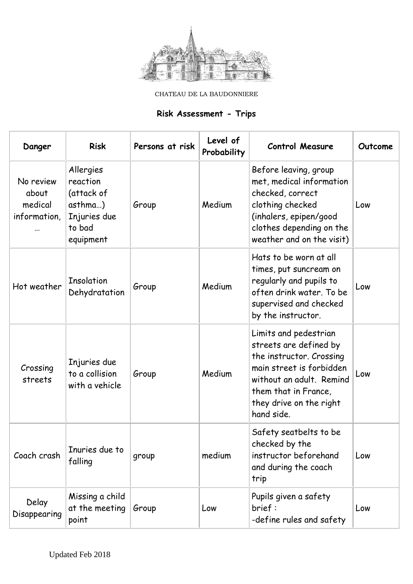

CHATEAU DE LA BAUDONNIERE

## **Risk Assessment - Trips**

| Danger                                            | <b>Risk</b>                                                                           | Persons at risk | Level of<br>Probability | <b>Control Measure</b>                                                                                                                                                                               | Outcome |
|---------------------------------------------------|---------------------------------------------------------------------------------------|-----------------|-------------------------|------------------------------------------------------------------------------------------------------------------------------------------------------------------------------------------------------|---------|
| No review<br>about<br>medical<br>information,<br> | Allergies<br>reaction<br>(attack of<br>asthma)<br>Injuries due<br>to bad<br>equipment | Group           | Medium                  | Before leaving, group<br>met, medical information<br>checked, correct<br>clothing checked<br>(inhalers, epipen/good<br>clothes depending on the<br>weather and on the visit)                         | Low     |
| Hot weather                                       | <b>Insolation</b><br>Dehydratation                                                    | Group           | Medium                  | Hats to be worn at all<br>times, put suncream on<br>regularly and pupils to<br>often drink water. To be<br>supervised and checked<br>by the instructor.                                              | Low     |
| Crossing<br>streets                               | Injuries due<br>to a collision<br>with a vehicle                                      | Group           | Medium                  | Limits and pedestrian<br>streets are defined by<br>the instructor. Crossing<br>main street is forbidden<br>without an adult. Remind<br>them that in France,<br>they drive on the right<br>hand side. | Low     |
| Coach crash                                       | Inuries due to<br>falling                                                             | group           | medium                  | Safety seatbelts to be<br>checked by the<br>instructor beforehand<br>and during the coach<br>trip                                                                                                    | Low     |
| Delay<br>Disappearing                             | Missing a child<br>at the meeting<br>point                                            | Group           | Low                     | Pupils given a safety<br>brief:<br>-define rules and safety                                                                                                                                          | Low     |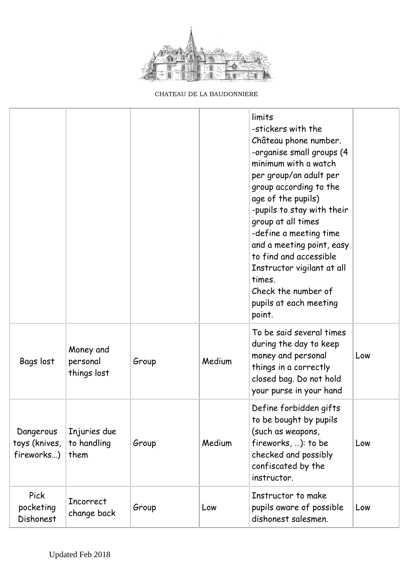

CHATEAU DE LA BAUDONNIERE

|                                          |                                      |       |        | limits<br>-stickers with the<br>Château phone number.<br>-organise small groups (4<br>minimum with a watch<br>per group/an adult per<br>group according to the<br>age of the pupils)<br>-pupils to stay with their<br>group at all times<br>-define a meeting time<br>and a meeting point, easy<br>to find and accessible<br>Instructor vigilant at all<br>times.<br>Check the number of<br>pupils at each meeting<br>point. |     |
|------------------------------------------|--------------------------------------|-------|--------|------------------------------------------------------------------------------------------------------------------------------------------------------------------------------------------------------------------------------------------------------------------------------------------------------------------------------------------------------------------------------------------------------------------------------|-----|
| Bags lost                                | Money and<br>personal<br>things lost | Group | Medium | To be said several times<br>during the day to keep<br>money and personal<br>things in a correctly<br>closed bag. Do not hold<br>your purse in your hand                                                                                                                                                                                                                                                                      | Low |
| Dangerous<br>toys (knives,<br>fireworks) | Injuries due<br>to handling<br>them  | Group | Medium | Define forbidden gifts<br>to be bought by pupils<br>(such as weapons,<br>fireworks, ): to be<br>checked and possibly<br>confiscated by the<br>instructor.                                                                                                                                                                                                                                                                    | Low |
| <b>Pick</b><br>pocketing<br>Dishonest    | <b>Incorrect</b><br>change back      | Group | Low    | Instructor to make<br>pupils aware of possible<br>dishonest salesmen.                                                                                                                                                                                                                                                                                                                                                        | Low |